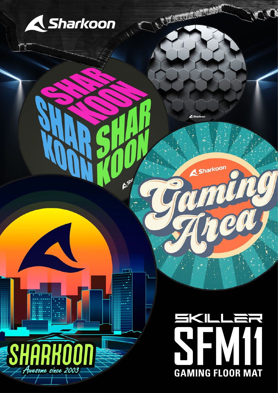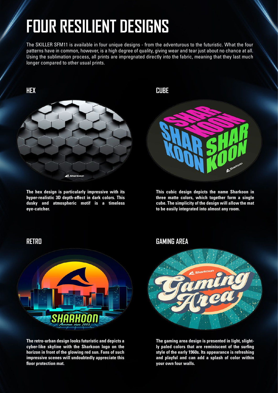## **FOUR RESILIENT DESIGNS**

The SKILLER SFM11 is available in four unique designs - from the adventurous to the futuristic. What the four patterns have in common, however, is a high degree of quality, giving wear and tear just about no chance at all. Using the sublimation process, all prints are impregnated directly into the fabric, meaning that they last much longer compared to other usual prints.



**The hex design is particularly impressive with its**  hyper-realistic 3D depth-effect in dark colors. This **dusky and atmospheric motif is a timeless eye-catcher.** 



**This cubic design depicts the name Sharkoon in three matte colors, which together form a single cube. The simplicity of the design will allow the mat to be easily integrated into almost any room.** 



**The retro-urban design looks futuristic and depicts a cyber-like skyline with the Sharkoon logo on the horizon in front of the glowing red sun. Fans of such impressive scenes will undoubtedly appreciate this floor protection mat.** 

#### **RETRO GAMING AREA**



**The gaming area design is presented in light, slightly paled colors that are reminiscent of the surfing style of the early 1960s. Its appearance is refreshing and playful and can add a splash of color within your own four walls.**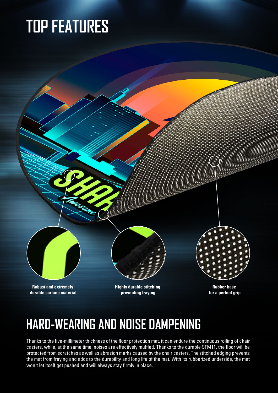## **TOP FEATURES**



## **HARD-WEARING AND NOISE DAMPENING**

Thanks to the five-millimeter thickness of the floor protection mat, it can endure the continuous rolling of chair casters, while, at the same time, noises are effectively muffled. Thanks to the durable SFM11, the floor will be protected from scratches as well as abrasion marks caused by the chair casters. The stitched edging prevents the mat from fraying and adds to the durability and long life of the mat. With its rubberized underside, the mat won't let itself get pushed and will always stay firmly in place.